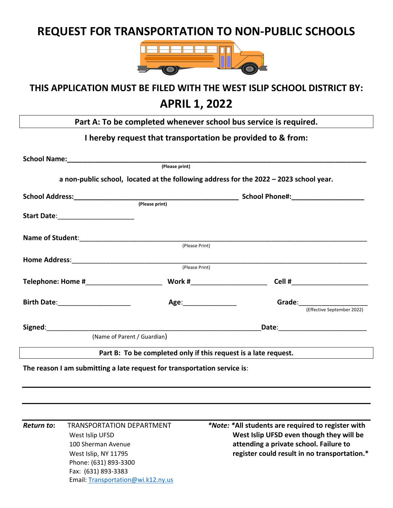# **REQUEST FOR TRANSPORTATION TO NON‐PUBLIC SCHOOLS**



# **THIS APPLICATION MUST BE FILED WITH THE WEST ISLIP SCHOOL DISTRICT BY:**

## **APRIL 1, 2022**

**Part A: To be completed whenever school bus service is required.** 

#### **I hereby request that transportation be provided to & from:**

| School Name: Manual Manual Manual Manual Manual Manual Manual Manual Manual Manual Manual Manual Manual Manual                                                                                                                 |                                                                 |                                                                                                                                                                                                                                |                            |
|--------------------------------------------------------------------------------------------------------------------------------------------------------------------------------------------------------------------------------|-----------------------------------------------------------------|--------------------------------------------------------------------------------------------------------------------------------------------------------------------------------------------------------------------------------|----------------------------|
|                                                                                                                                                                                                                                | (Please print)                                                  |                                                                                                                                                                                                                                |                            |
|                                                                                                                                                                                                                                |                                                                 | a non-public school, located at the following address for the 2022 - 2023 school year.                                                                                                                                         |                            |
|                                                                                                                                                                                                                                |                                                                 |                                                                                                                                                                                                                                |                            |
|                                                                                                                                                                                                                                | (Please print)                                                  |                                                                                                                                                                                                                                |                            |
|                                                                                                                                                                                                                                |                                                                 |                                                                                                                                                                                                                                |                            |
| Name of Student:<br>(Please Print)                                                                                                                                                                                             |                                                                 |                                                                                                                                                                                                                                |                            |
|                                                                                                                                                                                                                                |                                                                 |                                                                                                                                                                                                                                |                            |
|                                                                                                                                                                                                                                |                                                                 |                                                                                                                                                                                                                                |                            |
|                                                                                                                                                                                                                                | (Please Print)                                                  |                                                                                                                                                                                                                                |                            |
| Telephone: Home # \\\esp \\esp \\esp \\esp \\esp \\esp \\esp \\esp \\esp \\esp \\esp \\esp \\esp \\esp \\esp \\esp \\esp \\esp \\esp \\esp \\esp \\esp \\esp \\esp \\esp \\esp \\esp \\esp \\esp \\esp \\esp \\esp \\esp \\esp | Work #________________________                                  |                                                                                                                                                                                                                                |                            |
| Birth Date: ______________________                                                                                                                                                                                             | Age: 1990 1991 1992                                             | Grade: The Contract of the Contract of the Contract of the Contract of the Contract of the Contract of the Contract of the Contract of the Contract of the Contract of the Contract of the Contract of the Contract of the Con |                            |
|                                                                                                                                                                                                                                |                                                                 |                                                                                                                                                                                                                                | (Effective September 2022) |
| Signed: The contract of the contract of the contract of the contract of the contract of the contract of the contract of the contract of the contract of the contract of the contract of the contract of the contract of the co |                                                                 | Date: National Contract of the Contract of the Contract of the Contract of the Contract of the Contract of the                                                                                                                 |                            |
|                                                                                                                                                                                                                                | (Name of Parent / Guardian)                                     |                                                                                                                                                                                                                                |                            |
|                                                                                                                                                                                                                                | Part B: To be completed only if this request is a late request. |                                                                                                                                                                                                                                |                            |
| The reason I am submitting a late request for transportation service is:                                                                                                                                                       |                                                                 |                                                                                                                                                                                                                                |                            |

Phone: (631) 893‐3300 Fax: (631) 893‐3383 Email: Transportation@wi.k12.ny.us

*Return to***:** TRANSPORTATION DEPARTMENT *\*Note: \****All students are required to register with**  *West Islip UFSD* *West Islip UFSD even though they will be*  100 Sherman Avenue **attending a private school. Failure to** West Islip, NY 11795 **register could result in no transportation.\***